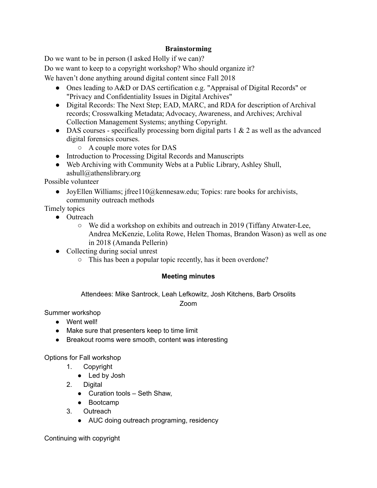## **Brainstorming**

Do we want to be in person (I asked Holly if we can)?

Do we want to keep to a copyright workshop? Who should organize it?

We haven't done anything around digital content since Fall 2018

- Ones leading to A&D or DAS certification e.g. "Appraisal of Digital Records" or "Privacy and Confidentiality Issues in Digital Archives"
- Digital Records: The Next Step; EAD, MARC, and RDA for description of Archival records; Crosswalking Metadata; Advocacy, Awareness, and Archives; Archival Collection Management Systems; anything Copyright.
- DAS courses specifically processing born digital parts  $1 \& 2$  as well as the advanced digital forensics courses.
	- A couple more votes for DAS
- Introduction to Processing Digital Records and Manuscripts
- Web Archiving with Community Webs at a Public Library, Ashley Shull,  $ashull@athenslibrary.org$

Possible volunteer

• JoyEllen Williams; jfree110@kennesaw.edu; Topics: rare books for archivists, community outreach methods

Timely topics

- Outreach
	- $\circ$  We did a workshop on exhibits and outreach in 2019 (Tiffany Atwater-Lee, Andrea McKenzie, Lolita Rowe, Helen Thomas, Brandon Wason) as well as one in 2018 (Amanda Pellerin)
- Collecting during social unrest
	- This has been a popular topic recently, has it been overdone?

## **Meeting minutes**

Attendees: Mike Santrock, Leah Lefkowitz, Josh Kitchens, Barb Orsolits

Zoom

Summer workshop

- Went well!
- Make sure that presenters keep to time limit
- Breakout rooms were smooth, content was interesting

Options for Fall workshop

- 1. Copyright
	- Led by Josh
- 2. Digital
	- $\bullet$  Curation tools Seth Shaw,
	- Bootcamp
- 3. Outreach
	- AUC doing outreach programing, residency

Continuing with copyright